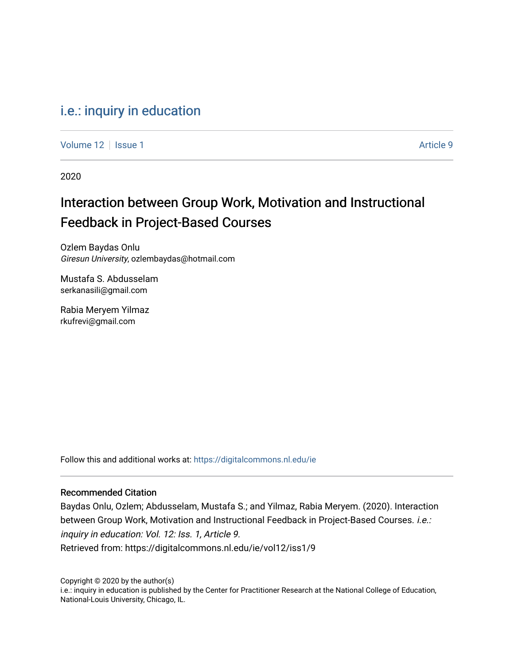## [i.e.: inquiry in education](https://digitalcommons.nl.edu/ie)

[Volume 12](https://digitalcommons.nl.edu/ie/vol12) | [Issue 1](https://digitalcommons.nl.edu/ie/vol12/iss1) Article 9

2020

## Interaction between Group Work, Motivation and Instructional Feedback in Project-Based Courses

Ozlem Baydas Onlu Giresun University, ozlembaydas@hotmail.com

Mustafa S. Abdusselam serkanasili@gmail.com

Rabia Meryem Yilmaz rkufrevi@gmail.com

Follow this and additional works at: [https://digitalcommons.nl.edu/ie](https://digitalcommons.nl.edu/ie?utm_source=digitalcommons.nl.edu%2Fie%2Fvol12%2Fiss1%2F9&utm_medium=PDF&utm_campaign=PDFCoverPages) 

#### Recommended Citation

Baydas Onlu, Ozlem; Abdusselam, Mustafa S.; and Yilmaz, Rabia Meryem. (2020). Interaction between Group Work, Motivation and Instructional Feedback in Project-Based Courses. i.e.: inquiry in education: Vol. 12: Iss. 1, Article 9. Retrieved from: https://digitalcommons.nl.edu/ie/vol12/iss1/9

Copyright © 2020 by the author(s) i.e.: inquiry in education is published by the Center for Practitioner Research at the National College of Education, National-Louis University, Chicago, IL.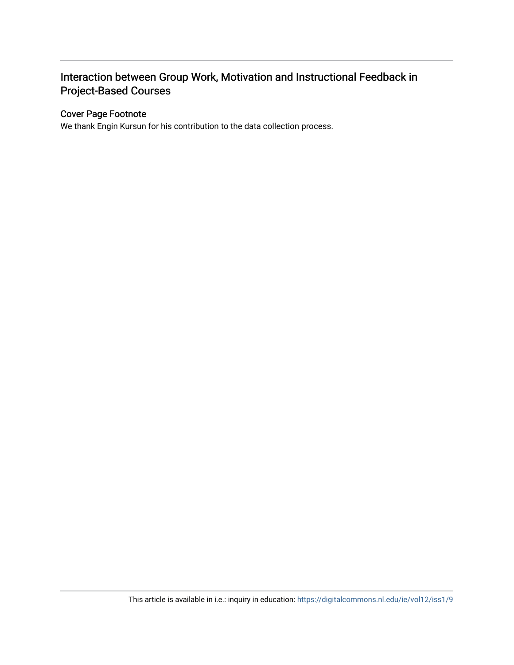### Interaction between Group Work, Motivation and Instructional Feedback in Project-Based Courses

#### Cover Page Footnote

We thank Engin Kursun for his contribution to the data collection process.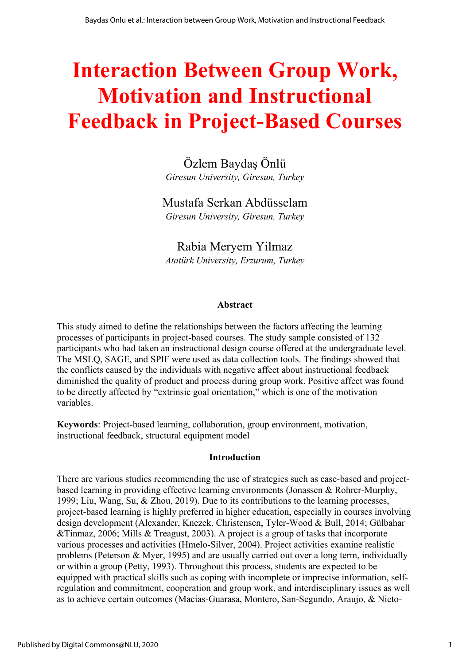# **Interaction Between Group Work, Motivation and Instructional Feedback in Project-Based Courses**

Özlem Baydaş Önlü *Giresun University, Giresun, Turkey*

# Mustafa Serkan Abdüsselam

*Giresun University, Giresun, Turkey*

Rabia Meryem Yilmaz *Atatürk University, Erzurum, Turkey*

#### **Abstract**

This study aimed to define the relationships between the factors affecting the learning processes of participants in project-based courses. The study sample consisted of 132 participants who had taken an instructional design course offered at the undergraduate level. The MSLQ, SAGE, and SPIF were used as data collection tools. The findings showed that the conflicts caused by the individuals with negative affect about instructional feedback diminished the quality of product and process during group work. Positive affect was found to be directly affected by "extrinsic goal orientation," which is one of the motivation variables.

**Keywords**: Project-based learning, collaboration, group environment, motivation, instructional feedback, structural equipment model

#### **Introduction**

There are various studies recommending the use of strategies such as case-based and projectbased learning in providing effective learning environments (Jonassen & Rohrer-Murphy, 1999; Liu, Wang, Su, & Zhou, 2019). Due to its contributions to the learning processes, project-based learning is highly preferred in higher education, especially in courses involving design development (Alexander, Knezek, Christensen, Tyler-Wood & Bull, 2014; Gülbahar &Tinmaz, 2006; Mills & Treagust, 2003). A project is a group of tasks that incorporate various processes and activities (Hmelo-Silver, 2004). Project activities examine realistic problems (Peterson & Myer, 1995) and are usually carried out over a long term, individually or within a group (Petty, 1993). Throughout this process, students are expected to be equipped with practical skills such as coping with incomplete or imprecise information, selfregulation and commitment, cooperation and group work, and interdisciplinary issues as well as to achieve certain outcomes (Macías-Guarasa, Montero, San-Segundo, Araujo, & Nieto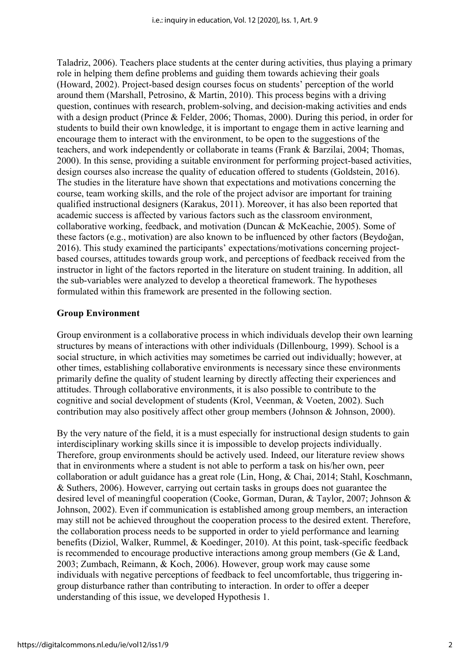Taladriz, 2006). Teachers place students at the center during activities, thus playing a primary role in helping them define problems and guiding them towards achieving their goals (Howard, 2002). Project-based design courses focus on students' perception of the world around them (Marshall, Petrosino, & Martin, 2010). This process begins with a driving question, continues with research, problem-solving, and decision-making activities and ends with a design product (Prince & Felder, 2006; Thomas, 2000). During this period, in order for students to build their own knowledge, it is important to engage them in active learning and encourage them to interact with the environment, to be open to the suggestions of the teachers, and work independently or collaborate in teams (Frank & Barzilai, 2004; Thomas, 2000). In this sense, providing a suitable environment for performing project-based activities, design courses also increase the quality of education offered to students (Goldstein, 2016). The studies in the literature have shown that expectations and motivations concerning the course, team working skills, and the role of the project advisor are important for training qualified instructional designers (Karakus, 2011). Moreover, it has also been reported that academic success is affected by various factors such as the classroom environment, collaborative working, feedback, and motivation (Duncan & McKeachie, 2005). Some of these factors (e.g., motivation) are also known to be influenced by other factors (Beydoğan, 2016). This study examined the participants' expectations/motivations concerning projectbased courses, attitudes towards group work, and perceptions of feedback received from the instructor in light of the factors reported in the literature on student training. In addition, all the sub-variables were analyzed to develop a theoretical framework. The hypotheses formulated within this framework are presented in the following section.

#### **Group Environment**

Group environment is a collaborative process in which individuals develop their own learning structures by means of interactions with other individuals (Dillenbourg, 1999). School is a social structure, in which activities may sometimes be carried out individually; however, at other times, establishing collaborative environments is necessary since these environments primarily define the quality of student learning by directly affecting their experiences and attitudes. Through collaborative environments, it is also possible to contribute to the cognitive and social development of students (Krol, Veenman, & Voeten, 2002). Such contribution may also positively affect other group members (Johnson & Johnson, 2000).

By the very nature of the field, it is a must especially for instructional design students to gain interdisciplinary working skills since it is impossible to develop projects individually. Therefore, group environments should be actively used. Indeed, our literature review shows that in environments where a student is not able to perform a task on his/her own, peer collaboration or adult guidance has a great role (Lin, Hong, & Chai, 2014; Stahl, Koschmann, & Suthers, 2006). However, carrying out certain tasks in groups does not guarantee the desired level of meaningful cooperation (Cooke, Gorman, Duran, & Taylor, 2007; Johnson & Johnson, 2002). Even if communication is established among group members, an interaction may still not be achieved throughout the cooperation process to the desired extent. Therefore, the collaboration process needs to be supported in order to yield performance and learning benefits (Diziol, Walker, Rummel, & Koedinger, 2010). At this point, task-specific feedback is recommended to encourage productive interactions among group members (Ge & Land, 2003; Zumbach, Reimann, & Koch, 2006). However, group work may cause some individuals with negative perceptions of feedback to feel uncomfortable, thus triggering ingroup disturbance rather than contributing to interaction. In order to offer a deeper understanding of this issue, we developed Hypothesis 1.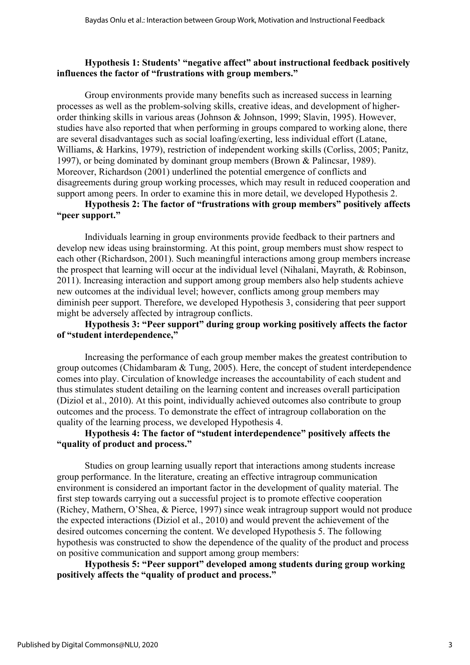#### **Hypothesis 1: Students' "negative affect" about instructional feedback positively influences the factor of "frustrations with group members."**

Group environments provide many benefits such as increased success in learning processes as well as the problem-solving skills, creative ideas, and development of higherorder thinking skills in various areas (Johnson & Johnson, 1999; Slavin, 1995). However, studies have also reported that when performing in groups compared to working alone, there are several disadvantages such as social loafing/exerting, less individual effort (Latane, Williams, & Harkins, 1979), restriction of independent working skills (Corliss, 2005; Panitz, 1997), or being dominated by dominant group members (Brown & Palincsar, 1989). Moreover, Richardson (2001) underlined the potential emergence of conflicts and disagreements during group working processes, which may result in reduced cooperation and support among peers. In order to examine this in more detail, we developed Hypothesis 2.

#### **Hypothesis 2: The factor of "frustrations with group members" positively affects "peer support."**

Individuals learning in group environments provide feedback to their partners and develop new ideas using brainstorming. At this point, group members must show respect to each other (Richardson, 2001). Such meaningful interactions among group members increase the prospect that learning will occur at the individual level (Nihalani, Mayrath, & Robinson, 2011). Increasing interaction and support among group members also help students achieve new outcomes at the individual level; however, conflicts among group members may diminish peer support. Therefore, we developed Hypothesis 3, considering that peer support might be adversely affected by intragroup conflicts.

#### **Hypothesis 3: "Peer support" during group working positively affects the factor of "student interdependence,"**

Increasing the performance of each group member makes the greatest contribution to group outcomes (Chidambaram & Tung, 2005). Here, the concept of student interdependence comes into play. Circulation of knowledge increases the accountability of each student and thus stimulates student detailing on the learning content and increases overall participation (Diziol et al., 2010). At this point, individually achieved outcomes also contribute to group outcomes and the process. To demonstrate the effect of intragroup collaboration on the quality of the learning process, we developed Hypothesis 4.

#### **Hypothesis 4: The factor of "student interdependence" positively affects the "quality of product and process."**

Studies on group learning usually report that interactions among students increase group performance. In the literature, creating an effective intragroup communication environment is considered an important factor in the development of quality material. The first step towards carrying out a successful project is to promote effective cooperation (Richey, Mathern, O'Shea, & Pierce, 1997) since weak intragroup support would not produce the expected interactions (Diziol et al., 2010) and would prevent the achievement of the desired outcomes concerning the content. We developed Hypothesis 5. The following hypothesis was constructed to show the dependence of the quality of the product and process on positive communication and support among group members:

**Hypothesis 5: "Peer support" developed among students during group working positively affects the "quality of product and process."**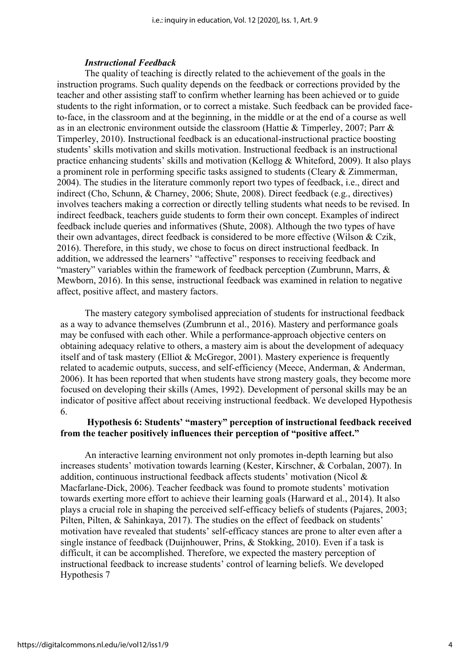#### *Instructional Feedback*

The quality of teaching is directly related to the achievement of the goals in the instruction programs. Such quality depends on the feedback or corrections provided by the teacher and other assisting staff to confirm whether learning has been achieved or to guide students to the right information, or to correct a mistake. Such feedback can be provided faceto-face, in the classroom and at the beginning, in the middle or at the end of a course as well as in an electronic environment outside the classroom (Hattie & Timperley, 2007; Parr & Timperley, 2010). Instructional feedback is an educational-instructional practice boosting students' skills motivation and skills motivation. Instructional feedback is an instructional practice enhancing students' skills and motivation (Kellogg & Whiteford, 2009). It also plays a prominent role in performing specific tasks assigned to students (Cleary & Zimmerman, 2004). The studies in the literature commonly report two types of feedback, i.e., direct and indirect (Cho, Schunn, & Charney, 2006; Shute, 2008). Direct feedback (e.g., directives) involves teachers making a correction or directly telling students what needs to be revised. In indirect feedback, teachers guide students to form their own concept. Examples of indirect feedback include queries and informatives (Shute, 2008). Although the two types of have their own advantages, direct feedback is considered to be more effective (Wilson & Czik, 2016). Therefore, in this study, we chose to focus on direct instructional feedback. In addition, we addressed the learners' "affective" responses to receiving feedback and "mastery" variables within the framework of feedback perception (Zumbrunn, Marrs, & Mewborn, 2016). In this sense, instructional feedback was examined in relation to negative affect, positive affect, and mastery factors.

The mastery category symbolised appreciation of students for instructional feedback as a way to advance themselves (Zumbrunn et al., 2016). Mastery and performance goals may be confused with each other. While a performance-approach objective centers on obtaining adequacy relative to others, a mastery aim is about the development of adequacy itself and of task mastery (Elliot & McGregor, 2001). Mastery experience is frequently related to academic outputs, success, and self-efficiency (Meece, Anderman, & Anderman, 2006). It has been reported that when students have strong mastery goals, they become more focused on developing their skills (Ames, 1992). Development of personal skills may be an indicator of positive affect about receiving instructional feedback. We developed Hypothesis 6.

#### **Hypothesis 6: Students' "mastery" perception of instructional feedback received from the teacher positively influences their perception of "positive affect."**

An interactive learning environment not only promotes in-depth learning but also increases students' motivation towards learning (Kester, Kirschner, & Corbalan, 2007). In addition, continuous instructional feedback affects students' motivation (Nicol & Macfarlane-Dick, 2006). Teacher feedback was found to promote students' motivation towards exerting more effort to achieve their learning goals (Harward et al., 2014). It also plays a crucial role in shaping the perceived self-efficacy beliefs of students (Pajares, 2003; Pilten, Pilten, & Sahinkaya, 2017). The studies on the effect of feedback on students' motivation have revealed that students' self-efficacy stances are prone to alter even after a single instance of feedback (Duijnhouwer, Prins, & Stokking, 2010). Even if a task is difficult, it can be accomplished. Therefore, we expected the mastery perception of instructional feedback to increase students' control of learning beliefs. We developed Hypothesis 7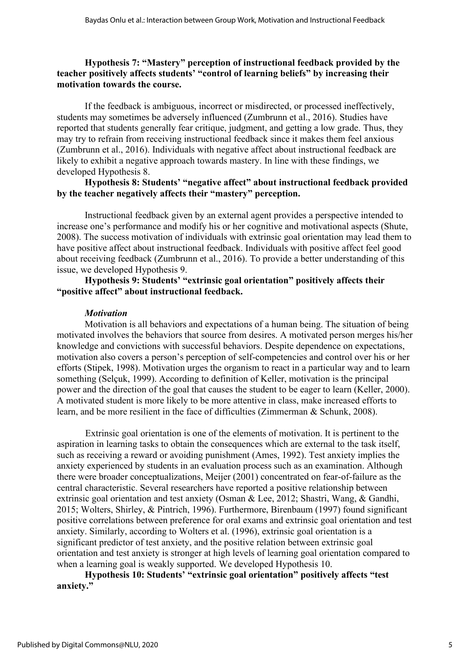#### **Hypothesis 7: "Mastery" perception of instructional feedback provided by the teacher positively affects students' "control of learning beliefs" by increasing their motivation towards the course.**

If the feedback is ambiguous, incorrect or misdirected, or processed ineffectively, students may sometimes be adversely influenced (Zumbrunn et al., 2016). Studies have reported that students generally fear critique, judgment, and getting a low grade. Thus, they may try to refrain from receiving instructional feedback since it makes them feel anxious (Zumbrunn et al., 2016). Individuals with negative affect about instructional feedback are likely to exhibit a negative approach towards mastery. In line with these findings, we developed Hypothesis 8.

#### **Hypothesis 8: Students' "negative affect" about instructional feedback provided by the teacher negatively affects their "mastery" perception.**

Instructional feedback given by an external agent provides a perspective intended to increase one's performance and modify his or her cognitive and motivational aspects (Shute, 2008). The success motivation of individuals with extrinsic goal orientation may lead them to have positive affect about instructional feedback. Individuals with positive affect feel good about receiving feedback (Zumbrunn et al., 2016). To provide a better understanding of this issue, we developed Hypothesis 9.

#### **Hypothesis 9: Students' "extrinsic goal orientation" positively affects their "positive affect" about instructional feedback.**

#### *Motivation*

Motivation is all behaviors and expectations of a human being. The situation of being motivated involves the behaviors that source from desires. A motivated person merges his/her knowledge and convictions with successful behaviors. Despite dependence on expectations, motivation also covers a person's perception of self-competencies and control over his or her efforts (Stipek, 1998). Motivation urges the organism to react in a particular way and to learn something (Selçuk, 1999). According to definition of Keller, motivation is the principal power and the direction of the goal that causes the student to be eager to learn (Keller, 2000). A motivated student is more likely to be more attentive in class, make increased efforts to learn, and be more resilient in the face of difficulties (Zimmerman & Schunk, 2008).

Extrinsic goal orientation is one of the elements of motivation. It is pertinent to the aspiration in learning tasks to obtain the consequences which are external to the task itself, such as receiving a reward or avoiding punishment (Ames, 1992). Test anxiety implies the anxiety experienced by students in an evaluation process such as an examination. Although there were broader conceptualizations, Meijer (2001) concentrated on fear-of-failure as the central characteristic. Several researchers have reported a positive relationship between extrinsic goal orientation and test anxiety (Osman & Lee, 2012; Shastri, Wang, & Gandhi, 2015; Wolters, Shirley, & Pintrich, 1996). Furthermore, Birenbaum (1997) found significant positive correlations between preference for oral exams and extrinsic goal orientation and test anxiety. Similarly, according to Wolters et al. (1996), extrinsic goal orientation is a significant predictor of test anxiety, and the positive relation between extrinsic goal orientation and test anxiety is stronger at high levels of learning goal orientation compared to when a learning goal is weakly supported. We developed Hypothesis 10.

**Hypothesis 10: Students' "extrinsic goal orientation" positively affects "test anxiety."**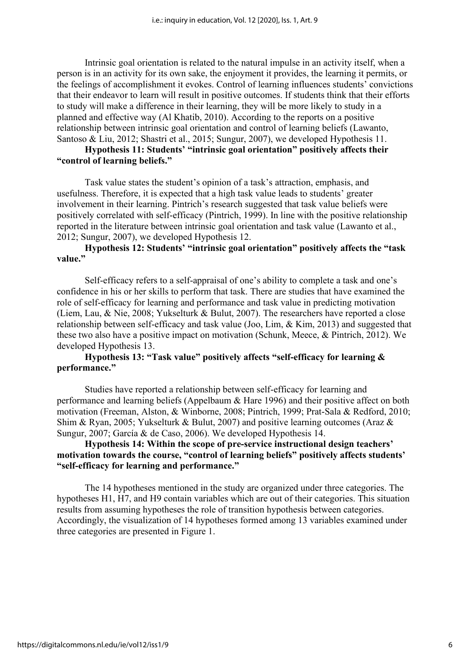Intrinsic goal orientation is related to the natural impulse in an activity itself, when a person is in an activity for its own sake, the enjoyment it provides, the learning it permits, or the feelings of accomplishment it evokes. Control of learning influences students' convictions that their endeavor to learn will result in positive outcomes. If students think that their efforts to study will make a difference in their learning, they will be more likely to study in a planned and effective way (Al Khatib, 2010). According to the reports on a positive relationship between intrinsic goal orientation and control of learning beliefs (Lawanto, Santoso & Liu, 2012; Shastri et al., 2015; Sungur, 2007), we developed Hypothesis 11.

#### **Hypothesis 11: Students' "intrinsic goal orientation" positively affects their "control of learning beliefs."**

Task value states the student's opinion of a task's attraction, emphasis, and usefulness. Therefore, it is expected that a high task value leads to students' greater involvement in their learning. Pintrich's research suggested that task value beliefs were positively correlated with self-efficacy (Pintrich, 1999). In line with the positive relationship reported in the literature between intrinsic goal orientation and task value (Lawanto et al., 2012; Sungur, 2007), we developed Hypothesis 12.

#### **Hypothesis 12: Students' "intrinsic goal orientation" positively affects the "task value."**

Self-efficacy refers to a self-appraisal of one's ability to complete a task and one's confidence in his or her skills to perform that task. There are studies that have examined the role of self-efficacy for learning and performance and task value in predicting motivation (Liem, Lau, & Nie, 2008; Yukselturk & Bulut, 2007). The researchers have reported a close relationship between self-efficacy and task value (Joo, Lim, & Kim, 2013) and suggested that these two also have a positive impact on motivation (Schunk, Meece, & Pintrich, 2012). We developed Hypothesis 13.

#### **Hypothesis 13: "Task value" positively affects "self-efficacy for learning & performance."**

Studies have reported a relationship between self-efficacy for learning and performance and learning beliefs (Appelbaum & Hare 1996) and their positive affect on both motivation (Freeman, Alston, & Winborne, 2008; Pintrich, 1999; Prat‐Sala & Redford, 2010; Shim & Ryan, 2005; Yukselturk & Bulut, 2007) and positive learning outcomes (Araz & Sungur, 2007; García & de Caso, 2006). We developed Hypothesis 14.

#### **Hypothesis 14: Within the scope of pre-service instructional design teachers' motivation towards the course, "control of learning beliefs" positively affects students' "self-efficacy for learning and performance."**

The 14 hypotheses mentioned in the study are organized under three categories. The hypotheses H1, H7, and H9 contain variables which are out of their categories. This situation results from assuming hypotheses the role of transition hypothesis between categories. Accordingly, the visualization of 14 hypotheses formed among 13 variables examined under three categories are presented in Figure 1.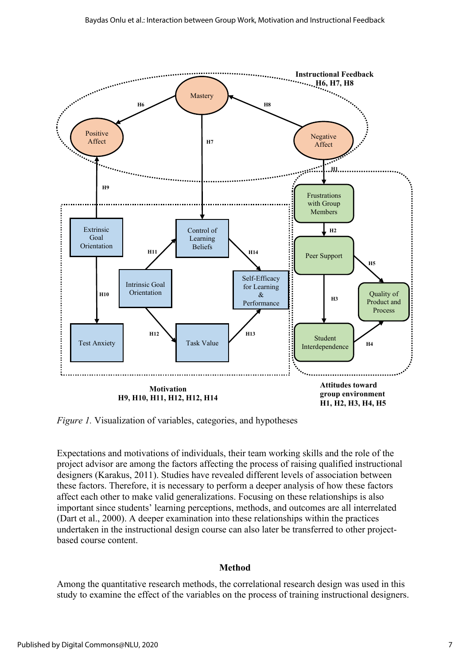

*Figure 1.* Visualization of variables, categories, and hypotheses

Expectations and motivations of individuals, their team working skills and the role of the project advisor are among the factors affecting the process of raising qualified instructional designers (Karakus, 2011). Studies have revealed different levels of association between these factors. Therefore, it is necessary to perform a deeper analysis of how these factors affect each other to make valid generalizations. Focusing on these relationships is also important since students' learning perceptions, methods, and outcomes are all interrelated (Dart et al., 2000). A deeper examination into these relationships within the practices undertaken in the instructional design course can also later be transferred to other projectbased course content.

#### **Method**

Among the quantitative research methods, the correlational research design was used in this study to examine the effect of the variables on the process of training instructional designers.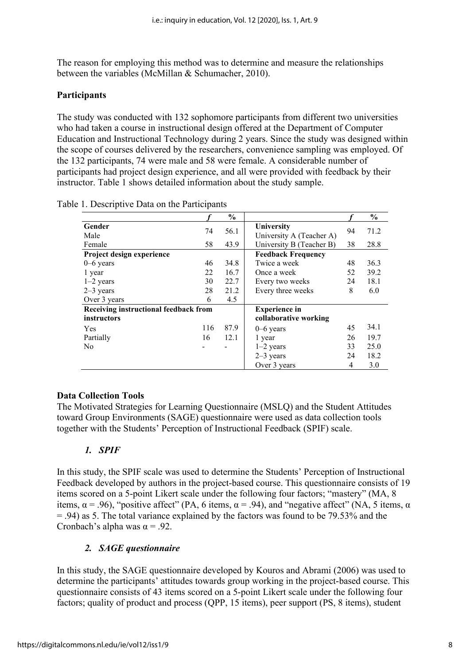The reason for employing this method was to determine and measure the relationships between the variables (McMillan & Schumacher, 2010).

#### **Participants**

The study was conducted with 132 sophomore participants from different two universities who had taken a course in instructional design offered at the Department of Computer Education and Instructional Technology during 2 years. Since the study was designed within the scope of courses delivered by the researchers, convenience sampling was employed. Of the 132 participants, 74 were male and 58 were female. A considerable number of participants had project design experience, and all were provided with feedback by their instructor. Table 1 shows detailed information about the study sample.

|                                       |     | $\frac{6}{9}$ |                                        |    | $\frac{6}{9}$ |
|---------------------------------------|-----|---------------|----------------------------------------|----|---------------|
| Gender<br>Male                        | 74  | 56.1          | University<br>University A (Teacher A) | 94 | 71.2          |
| Female                                | 58  | 43.9          | University B (Teacher B)               | 38 | 28.8          |
| Project design experience             |     |               | <b>Feedback Frequency</b>              |    |               |
| $0-6$ years                           | 46  | 34.8          | Twice a week                           | 48 | 36.3          |
| 1 year                                | 22  | 16.7          | Once a week                            | 52 | 39.2          |
| $1-2$ years                           | 30  | 22.7          | Every two weeks                        | 24 | 18.1          |
| $2-3$ years                           | 28  | 21.2          | Every three weeks                      | 8  | 6.0           |
| Over 3 years                          | 6   | 4.5           |                                        |    |               |
| Receiving instructional feedback from |     |               | <b>Experience</b> in                   |    |               |
| instructors                           |     |               | collaborative working                  |    |               |
| Yes                                   | 116 | 87.9          | $0 - 6$ years                          | 45 | 34.1          |
| Partially                             | 16  | 12.1          | 1 year                                 | 26 | 19.7          |
| N <sub>0</sub>                        |     |               | $1-2$ years                            | 33 | 25.0          |
|                                       |     |               | $2-3$ years                            | 24 | 18.2          |
|                                       |     |               | Over 3 years                           | 4  | 3.0           |

|  | Table 1. Descriptive Data on the Participants |  |  |
|--|-----------------------------------------------|--|--|
|  |                                               |  |  |

#### **Data Collection Tools**

The Motivated Strategies for Learning Questionnaire (MSLQ) and the Student Attitudes toward Group Environments (SAGE) questionnaire were used as data collection tools together with the Students' Perception of Instructional Feedback (SPIF) scale.

#### *1. SPIF*

In this study, the SPIF scale was used to determine the Students' Perception of Instructional Feedback developed by authors in the project-based course. This questionnaire consists of 19 items scored on a 5-point Likert scale under the following four factors; "mastery" (MA, 8 items,  $\alpha$  = .96), "positive affect" (PA, 6 items,  $\alpha$  = .94), and "negative affect" (NA, 5 items,  $\alpha$ = .94) as 5. The total variance explained by the factors was found to be 79.53% and the Cronbach's alpha was  $\alpha$  = .92.

#### *2. SAGE questionnaire*

In this study, the SAGE questionnaire developed by Kouros and Abrami (2006) was used to determine the participants' attitudes towards group working in the project-based course. This questionnaire consists of 43 items scored on a 5-point Likert scale under the following four factors; quality of product and process (QPP, 15 items), peer support (PS, 8 items), student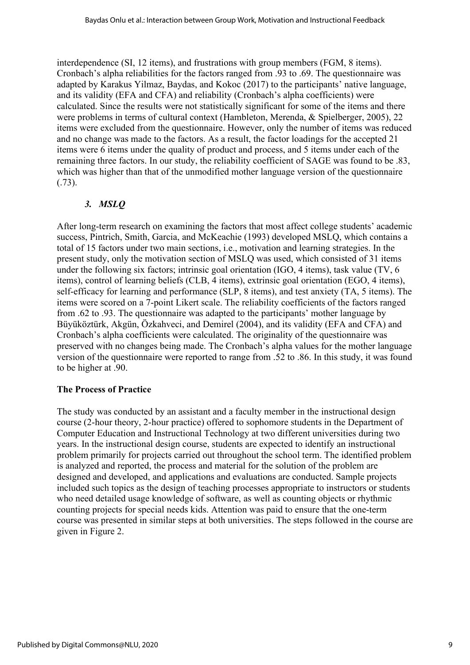interdependence (SI, 12 items), and frustrations with group members (FGM, 8 items). Cronbach's alpha reliabilities for the factors ranged from .93 to .69. The questionnaire was adapted by Karakus Yilmaz, Baydas, and Kokoc (2017) to the participants' native language, and its validity (EFA and CFA) and reliability (Cronbach's alpha coefficients) were calculated. Since the results were not statistically significant for some of the items and there were problems in terms of cultural context (Hambleton, Merenda, & Spielberger, 2005), 22 items were excluded from the questionnaire. However, only the number of items was reduced and no change was made to the factors. As a result, the factor loadings for the accepted 21 items were 6 items under the quality of product and process, and 5 items under each of the remaining three factors. In our study, the reliability coefficient of SAGE was found to be .83, which was higher than that of the unmodified mother language version of the questionnaire (.73).

#### *3. MSLQ*

After long-term research on examining the factors that most affect college students' academic success, Pintrich, Smith, Garcia, and McKeachie (1993) developed MSLQ, which contains a total of 15 factors under two main sections, i.e., motivation and learning strategies. In the present study, only the motivation section of MSLQ was used, which consisted of 31 items under the following six factors; intrinsic goal orientation (IGO, 4 items), task value (TV, 6 items), control of learning beliefs (CLB, 4 items), extrinsic goal orientation (EGO, 4 items), self-efficacy for learning and performance (SLP, 8 items), and test anxiety (TA, 5 items). The items were scored on a 7-point Likert scale. The reliability coefficients of the factors ranged from .62 to .93. The questionnaire was adapted to the participants' mother language by Büyüköztürk, Akgün, Özkahveci, and Demirel (2004), and its validity (EFA and CFA) and Cronbach's alpha coefficients were calculated. The originality of the questionnaire was preserved with no changes being made. The Cronbach's alpha values for the mother language version of the questionnaire were reported to range from .52 to .86. In this study, it was found to be higher at .90.

#### **The Process of Practice**

The study was conducted by an assistant and a faculty member in the instructional design course (2-hour theory, 2-hour practice) offered to sophomore students in the Department of Computer Education and Instructional Technology at two different universities during two years. In the instructional design course, students are expected to identify an instructional problem primarily for projects carried out throughout the school term. The identified problem is analyzed and reported, the process and material for the solution of the problem are designed and developed, and applications and evaluations are conducted. Sample projects included such topics as the design of teaching processes appropriate to instructors or students who need detailed usage knowledge of software, as well as counting objects or rhythmic counting projects for special needs kids. Attention was paid to ensure that the one-term course was presented in similar steps at both universities. The steps followed in the course are given in Figure 2.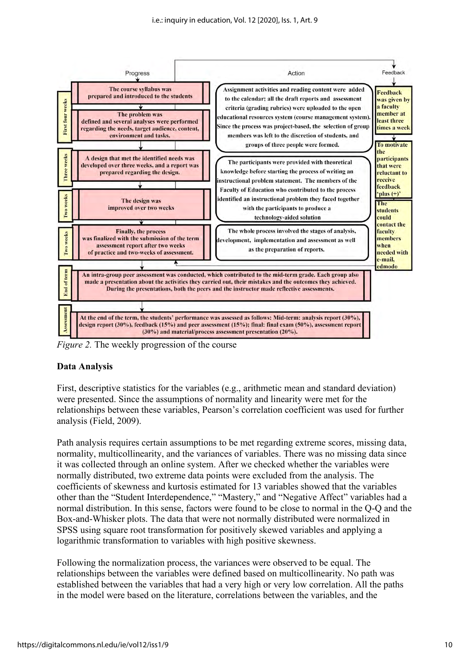

*Figure 2.* The weekly progression of the course

#### **Data Analysis**

First, descriptive statistics for the variables (e.g., arithmetic mean and standard deviation) were presented. Since the assumptions of normality and linearity were met for the relationships between these variables, Pearson's correlation coefficient was used for further analysis (Field, 2009).

Path analysis requires certain assumptions to be met regarding extreme scores, missing data, normality, multicollinearity, and the variances of variables. There was no missing data since it was collected through an online system. After we checked whether the variables were normally distributed, two extreme data points were excluded from the analysis. The coefficients of skewness and kurtosis estimated for 13 variables showed that the variables other than the "Student Interdependence," "Mastery," and "Negative Affect" variables had a normal distribution. In this sense, factors were found to be close to normal in the Q-Q and the Box-and-Whisker plots. The data that were not normally distributed were normalized in SPSS using square root transformation for positively skewed variables and applying a logarithmic transformation to variables with high positive skewness.

Following the normalization process, the variances were observed to be equal. The relationships between the variables were defined based on multicollinearity. No path was established between the variables that had a very high or very low correlation. All the paths in the model were based on the literature, correlations between the variables, and the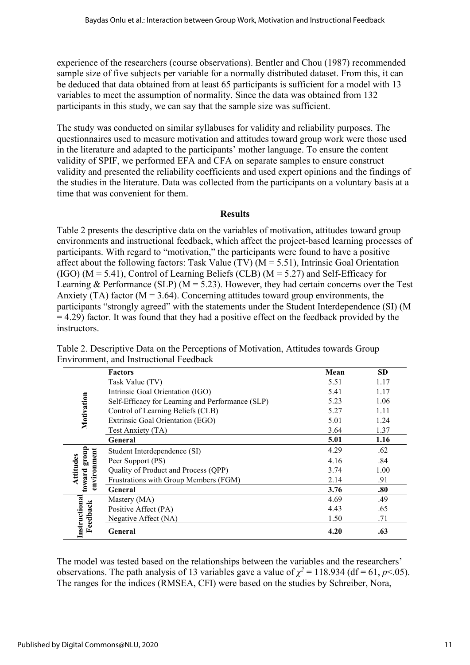experience of the researchers (course observations). Bentler and Chou (1987) recommended sample size of five subjects per variable for a normally distributed dataset. From this, it can be deduced that data obtained from at least 65 participants is sufficient for a model with 13 variables to meet the assumption of normality. Since the data was obtained from 132 participants in this study, we can say that the sample size was sufficient.

The study was conducted on similar syllabuses for validity and reliability purposes. The questionnaires used to measure motivation and attitudes toward group work were those used in the literature and adapted to the participants' mother language. To ensure the content validity of SPIF, we performed EFA and CFA on separate samples to ensure construct validity and presented the reliability coefficients and used expert opinions and the findings of the studies in the literature. Data was collected from the participants on a voluntary basis at a time that was convenient for them.

#### **Results**

Table 2 presents the descriptive data on the variables of motivation, attitudes toward group environments and instructional feedback, which affect the project-based learning processes of participants. With regard to "motivation," the participants were found to have a positive affect about the following factors: Task Value (TV) ( $M = 5.51$ ), Intrinsic Goal Orientation (IGO) ( $M = 5.41$ ), Control of Learning Beliefs (CLB) ( $M = 5.27$ ) and Self-Efficacy for Learning & Performance (SLP) ( $M = 5.23$ ). However, they had certain concerns over the Test Anxiety (TA) factor ( $M = 3.64$ ). Concerning attitudes toward group environments, the participants "strongly agreed" with the statements under the Student Interdependence (SI) (M  $= 4.29$ ) factor. It was found that they had a positive effect on the feedback provided by the **instructors** 

|                       | <b>Factors</b>                                   | Mean | <b>SD</b> |
|-----------------------|--------------------------------------------------|------|-----------|
|                       | Task Value (TV)                                  | 5.51 | 1.17      |
|                       | Intrinsic Goal Orientation (IGO)                 | 5.41 | 1.17      |
|                       | Self-Efficacy for Learning and Performance (SLP) | 5.23 | 1.06      |
|                       | Control of Learning Beliefs (CLB)                | 5.27 | 1.11      |
| Motivation            | Extrinsic Goal Orientation (EGO)                 | 5.01 | 1.24      |
|                       | Test Anxiety (TA)                                | 3.64 | 1.37      |
|                       | General                                          | 5.01 | 1.16      |
|                       | Student Interdependence (SI)                     | 4.29 | .62       |
| group<br>Attitudes    | Peer Support (PS)                                | 4.16 | .84       |
|                       | Quality of Product and Process (QPP)             | 3.74 | 1.00      |
| environment<br>toward | Frustrations with Group Members (FGM)            | 2.14 | .91       |
|                       | General                                          | 3.76 | .80       |
|                       | Mastery (MA)                                     | 4.69 | .49       |
|                       | Positive Affect (PA)                             | 4.43 | .65       |
| Feedback              | Negative Affect (NA)                             | 1.50 | .71       |
| Instructiona          | General                                          | 4.20 | .63       |

Table 2. Descriptive Data on the Perceptions of Motivation, Attitudes towards Group Environment, and Instructional Feedback

The model was tested based on the relationships between the variables and the researchers' observations. The path analysis of 13 variables gave a value of  $\chi^2 = 118.934$  (df = 61, *p* < 05). The ranges for the indices (RMSEA, CFI) were based on the studies by Schreiber, Nora,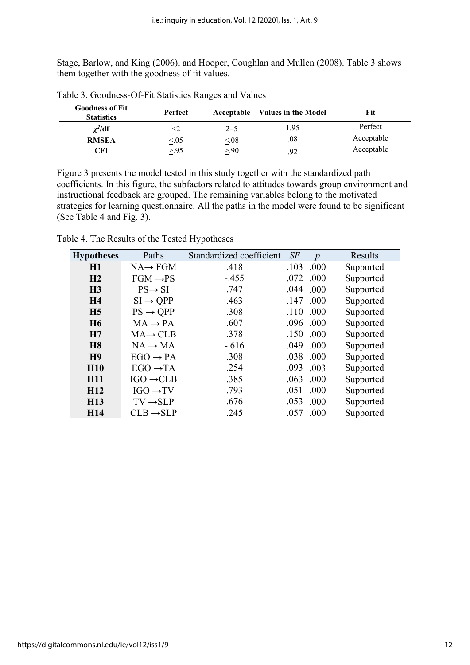Stage, Barlow, and King (2006), and Hooper, Coughlan and Mullen (2008). Table 3 shows them together with the goodness of fit values.

| <b>Goodness of Fit</b><br><b>Statistics</b> | Perfect         |           | Acceptable Values in the Model | Fit        |
|---------------------------------------------|-----------------|-----------|--------------------------------|------------|
| $\chi^2/\mathrm{df}$                        | $\sim$ $\angle$ | $2 - 5$   | .95                            | Perfect    |
| <b>RMSEA</b>                                | $\leq 0.05$     | $\leq 08$ | .08                            | Acceptable |
| CFI                                         | >95             | >90       | 92                             | Acceptable |

Table 3. Goodness-Of-Fit Statistics Ranges and Values

Figure 3 presents the model tested in this study together with the standardized path coefficients. In this figure, the subfactors related to attitudes towards group environment and instructional feedback are grouped. The remaining variables belong to the motivated strategies for learning questionnaire. All the paths in the model were found to be significant (See Table 4 and Fig. 3).

| <b>Hypotheses</b> | Paths                 | Standardized coefficient | SE   | n    | Results   |
|-------------------|-----------------------|--------------------------|------|------|-----------|
| H1                | $NA \rightarrow FGM$  | .418                     | .103 | .000 | Supported |
| H <sub>2</sub>    | $FGM \rightarrow PS$  | $-455$                   | .072 | .000 | Supported |
| H <sub>3</sub>    | $PS \rightarrow SI$   | .747                     | .044 | .000 | Supported |
| H <sub>4</sub>    | $SI \rightarrow QPP$  | .463                     | .147 | .000 | Supported |
| H <sub>5</sub>    | $PS \rightarrow QPP$  | .308                     | .110 | .000 | Supported |
| <b>H6</b>         | $MA \rightarrow PA$   | .607                     | .096 | .000 | Supported |
| H7                | $MA \rightarrow CLB$  | .378                     | .150 | .000 | Supported |
| <b>H8</b>         | $NA \rightarrow MA$   | $-0.616$                 | .049 | .000 | Supported |
| H <sub>9</sub>    | $EGO \rightarrow PA$  | .308                     | .038 | .000 | Supported |
| <b>H10</b>        | $EGO \rightarrow TA$  | .254                     | .093 | .003 | Supported |
| <b>H11</b>        | $IGO \rightarrow CLB$ | .385                     | .063 | .000 | Supported |
| H <sub>12</sub>   | $IGO \rightarrow TV$  | .793                     | .051 | .000 | Supported |
| <b>H13</b>        | $TV \rightarrow SLP$  | .676                     | .053 | .000 | Supported |
| H <sub>14</sub>   | $CLB \rightarrow SLP$ | .245                     | .057 | .000 | Supported |

Table 4. The Results of the Tested Hypotheses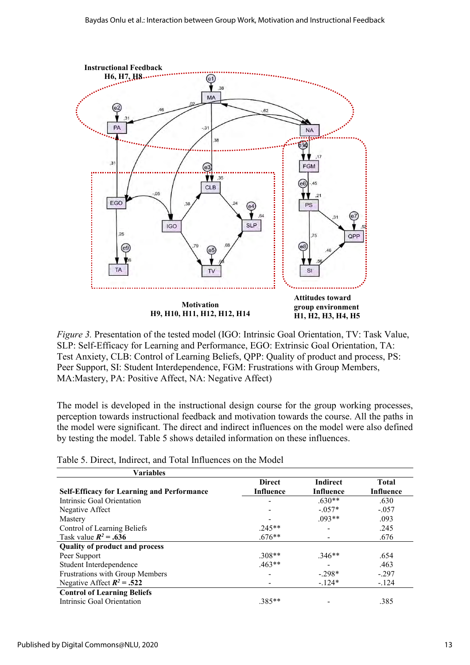

*Figure 3.* Presentation of the tested model (IGO: Intrinsic Goal Orientation, TV: Task Value, SLP: Self-Efficacy for Learning and Performance, EGO: Extrinsic Goal Orientation, TA: Test Anxiety, CLB: Control of Learning Beliefs, QPP: Quality of product and process, PS: Peer Support, SI: Student Interdependence, FGM: Frustrations with Group Members, MA:Mastery, PA: Positive Affect, NA: Negative Affect)

The model is developed in the instructional design course for the group working processes, perception towards instructional feedback and motivation towards the course. All the paths in the model were significant. The direct and indirect influences on the model were also defined by testing the model. Table 5 shows detailed information on these influences.

| <b>Variables</b>                                  |               |                  |                  |
|---------------------------------------------------|---------------|------------------|------------------|
|                                                   | <b>Direct</b> | <b>Indirect</b>  | <b>Total</b>     |
| <b>Self-Efficacy for Learning and Performance</b> | Influence     | <b>Influence</b> | <b>Influence</b> |
| Intrinsic Goal Orientation                        |               | $.630**$         | .630             |
| Negative Affect                                   |               | $-0.57*$         | $-.057$          |
| Mastery                                           |               | $.093**$         | .093             |
| Control of Learning Beliefs                       | $.245**$      |                  | .245             |
| Task value $R^2$ = .636                           | $.676**$      |                  | .676             |
| <b>Quality of product and process</b>             |               |                  |                  |
| Peer Support                                      | $.308**$      | $.346**$         | .654             |
| Student Interdependence                           | $.463**$      |                  | .463             |
| Frustrations with Group Members                   |               | $-298*$          | $-.297$          |
| Negative Affect $R^2$ = .522                      |               | $-124*$          | $-124$           |
| <b>Control of Learning Beliefs</b>                |               |                  |                  |
| Intrinsic Goal Orientation                        | $.385**$      |                  | .385             |

Table 5. Direct, Indirect, and Total Influences on the Model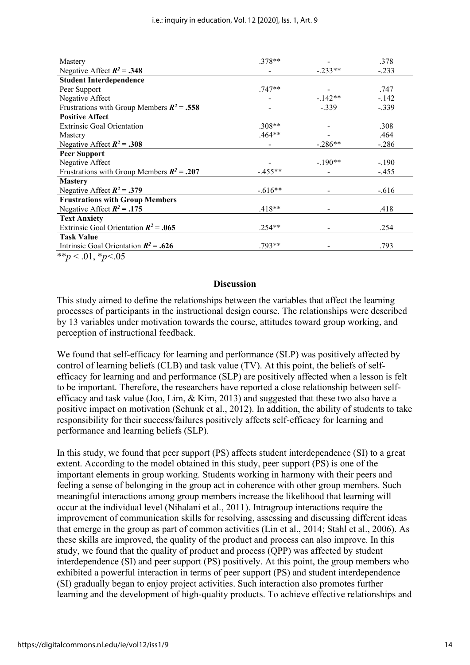| Mastery                                      | .378**   |           | .378    |
|----------------------------------------------|----------|-----------|---------|
| Negative Affect $R^2 = .348$                 |          | $-.233**$ | $-.233$ |
| <b>Student Interdependence</b>               |          |           |         |
| Peer Support                                 | $.747**$ |           | .747    |
| Negative Affect                              |          | $-142**$  | $-142$  |
| Frustrations with Group Members $R^2$ = .558 |          | $-.339$   | $-.339$ |
| <b>Positive Affect</b>                       |          |           |         |
| <b>Extrinsic Goal Orientation</b>            | $.308**$ |           | .308    |
| Mastery                                      | $.464**$ |           | .464    |
| Negative Affect $R^2 = .308$                 |          | $-.286**$ | $-.286$ |
| <b>Peer Support</b>                          |          |           |         |
| Negative Affect                              |          | $-190**$  | $-.190$ |
| Frustrations with Group Members $R^2 = .207$ | $-455**$ |           | $-.455$ |
| <b>Mastery</b>                               |          |           |         |
| Negative Affect $R^2 = .379$                 | $-616**$ |           | $-.616$ |
| <b>Frustrations with Group Members</b>       |          |           |         |
| Negative Affect $R^2 = .175$                 | $.418**$ |           | .418    |
| <b>Text Anxiety</b>                          |          |           |         |
| Extrinsic Goal Orientation $R^2$ = .065      | $.254**$ |           | .254    |
| <b>Task Value</b>                            |          |           |         |
| Intrinsic Goal Orientation $R^2$ = .626      | .793**   |           | .793    |
| **n $\lt$ 01 *n $\lt$ 05                     |          |           |         |

\*\**p* < .01, \**p<*.05

#### **Discussion**

This study aimed to define the relationships between the variables that affect the learning processes of participants in the instructional design course. The relationships were described by 13 variables under motivation towards the course, attitudes toward group working, and perception of instructional feedback.

We found that self-efficacy for learning and performance (SLP) was positively affected by control of learning beliefs (CLB) and task value (TV). At this point, the beliefs of selfefficacy for learning and and performance (SLP) are positively affected when a lesson is felt to be important. Therefore, the researchers have reported a close relationship between selfefficacy and task value (Joo, Lim, & Kim, 2013) and suggested that these two also have a positive impact on motivation (Schunk et al., 2012). In addition, the ability of students to take responsibility for their success/failures positively affects self-efficacy for learning and performance and learning beliefs (SLP).

In this study, we found that peer support (PS) affects student interdependence (SI) to a great extent. According to the model obtained in this study, peer support (PS) is one of the important elements in group working. Students working in harmony with their peers and feeling a sense of belonging in the group act in coherence with other group members. Such meaningful interactions among group members increase the likelihood that learning will occur at the individual level (Nihalani et al., 2011). Intragroup interactions require the improvement of communication skills for resolving, assessing and discussing different ideas that emerge in the group as part of common activities (Lin et al., 2014; Stahl et al., 2006). As these skills are improved, the quality of the product and process can also improve. In this study, we found that the quality of product and process (QPP) was affected by student interdependence (SI) and peer support (PS) positively. At this point, the group members who exhibited a powerful interaction in terms of peer support (PS) and student interdependence (SI) gradually began to enjoy project activities. Such interaction also promotes further learning and the development of high-quality products. To achieve effective relationships and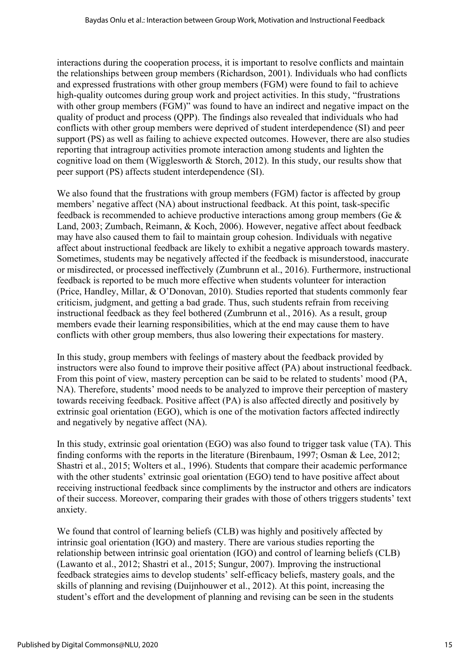interactions during the cooperation process, it is important to resolve conflicts and maintain the relationships between group members (Richardson, 2001). Individuals who had conflicts and expressed frustrations with other group members (FGM) were found to fail to achieve high-quality outcomes during group work and project activities. In this study, "frustrations with other group members (FGM)" was found to have an indirect and negative impact on the quality of product and process (QPP). The findings also revealed that individuals who had conflicts with other group members were deprived of student interdependence (SI) and peer support (PS) as well as failing to achieve expected outcomes. However, there are also studies reporting that intragroup activities promote interaction among students and lighten the cognitive load on them (Wigglesworth  $& Storch, 2012$ ). In this study, our results show that peer support (PS) affects student interdependence (SI).

We also found that the frustrations with group members (FGM) factor is affected by group members' negative affect (NA) about instructional feedback. At this point, task-specific feedback is recommended to achieve productive interactions among group members (Ge & Land, 2003; Zumbach, Reimann, & Koch, 2006). However, negative affect about feedback may have also caused them to fail to maintain group cohesion. Individuals with negative affect about instructional feedback are likely to exhibit a negative approach towards mastery. Sometimes, students may be negatively affected if the feedback is misunderstood, inaccurate or misdirected, or processed ineffectively (Zumbrunn et al., 2016). Furthermore, instructional feedback is reported to be much more effective when students volunteer for interaction (Price, Handley, Millar, & O'Donovan, 2010). Studies reported that students commonly fear criticism, judgment, and getting a bad grade. Thus, such students refrain from receiving instructional feedback as they feel bothered (Zumbrunn et al., 2016). As a result, group members evade their learning responsibilities, which at the end may cause them to have conflicts with other group members, thus also lowering their expectations for mastery.

In this study, group members with feelings of mastery about the feedback provided by instructors were also found to improve their positive affect (PA) about instructional feedback. From this point of view, mastery perception can be said to be related to students' mood (PA, NA). Therefore, students' mood needs to be analyzed to improve their perception of mastery towards receiving feedback. Positive affect (PA) is also affected directly and positively by extrinsic goal orientation (EGO), which is one of the motivation factors affected indirectly and negatively by negative affect (NA).

In this study, extrinsic goal orientation (EGO) was also found to trigger task value (TA). This finding conforms with the reports in the literature (Birenbaum, 1997; Osman & Lee, 2012; Shastri et al., 2015; Wolters et al., 1996). Students that compare their academic performance with the other students' extrinsic goal orientation (EGO) tend to have positive affect about receiving instructional feedback since compliments by the instructor and others are indicators of their success. Moreover, comparing their grades with those of others triggers students' text anxiety.

We found that control of learning beliefs (CLB) was highly and positively affected by intrinsic goal orientation (IGO) and mastery. There are various studies reporting the relationship between intrinsic goal orientation (IGO) and control of learning beliefs (CLB) (Lawanto et al., 2012; Shastri et al., 2015; Sungur, 2007). Improving the instructional feedback strategies aims to develop students' self-efficacy beliefs, mastery goals, and the skills of planning and revising (Duijnhouwer et al., 2012). At this point, increasing the student's effort and the development of planning and revising can be seen in the students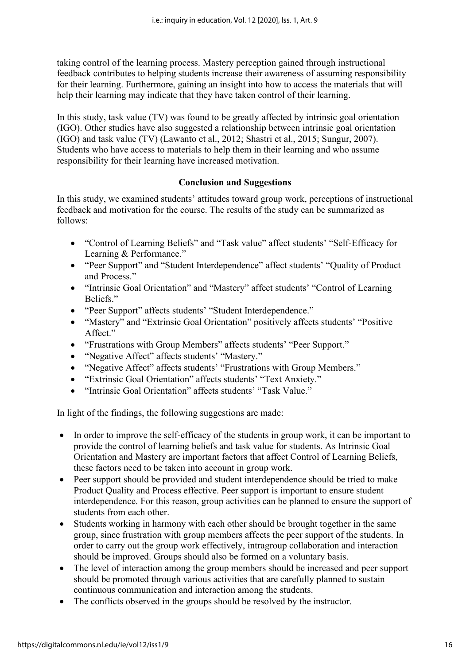taking control of the learning process. Mastery perception gained through instructional feedback contributes to helping students increase their awareness of assuming responsibility for their learning. Furthermore, gaining an insight into how to access the materials that will help their learning may indicate that they have taken control of their learning.

In this study, task value (TV) was found to be greatly affected by intrinsic goal orientation (IGO). Other studies have also suggested a relationship between intrinsic goal orientation (IGO) and task value (TV) (Lawanto et al., 2012; Shastri et al., 2015; Sungur, 2007). Students who have access to materials to help them in their learning and who assume responsibility for their learning have increased motivation.

#### **Conclusion and Suggestions**

In this study, we examined students' attitudes toward group work, perceptions of instructional feedback and motivation for the course. The results of the study can be summarized as follows:

- "Control of Learning Beliefs" and "Task value" affect students' "Self-Efficacy for Learning & Performance."
- "Peer Support" and "Student Interdependence" affect students' "Quality of Product and Process."
- "Intrinsic Goal Orientation" and "Mastery" affect students' "Control of Learning Beliefs."
- "Peer Support" affects students' "Student Interdependence."
- "Mastery" and "Extrinsic Goal Orientation" positively affects students' "Positive Affect."
- "Frustrations with Group Members" affects students' "Peer Support."
- "Negative Affect" affects students' "Mastery."
- "Negative Affect" affects students' "Frustrations with Group Members."
- "Extrinsic Goal Orientation" affects students' "Text Anxiety."
- "Intrinsic Goal Orientation" affects students' "Task Value."

In light of the findings, the following suggestions are made:

- In order to improve the self-efficacy of the students in group work, it can be important to provide the control of learning beliefs and task value for students. As Intrinsic Goal Orientation and Mastery are important factors that affect Control of Learning Beliefs, these factors need to be taken into account in group work.
- Peer support should be provided and student interdependence should be tried to make Product Quality and Process effective. Peer support is important to ensure student interdependence. For this reason, group activities can be planned to ensure the support of students from each other.
- Students working in harmony with each other should be brought together in the same group, since frustration with group members affects the peer support of the students. In order to carry out the group work effectively, intragroup collaboration and interaction should be improved. Groups should also be formed on a voluntary basis.
- The level of interaction among the group members should be increased and peer support should be promoted through various activities that are carefully planned to sustain continuous communication and interaction among the students.
- The conflicts observed in the groups should be resolved by the instructor.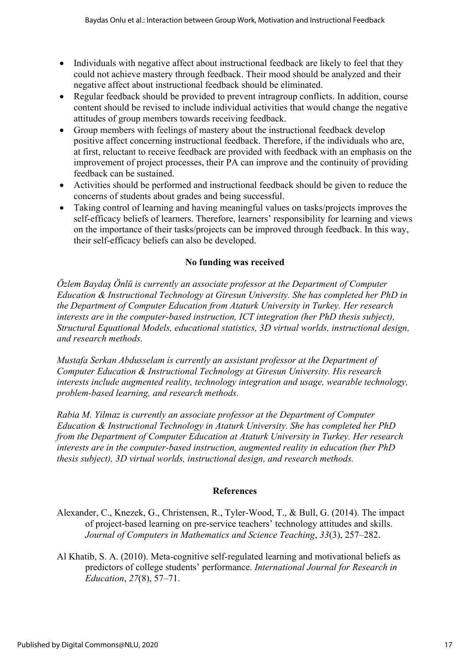- Individuals with negative affect about instructional feedback are likely to feel that they could not achieve mastery through feedback. Their mood should be analyzed and their negative affect about instructional feedback should be eliminated.
- Regular feedback should be provided to prevent intragroup conflicts. In addition, course content should be revised to include individual activities that would change the negative attitudes of group members towards receiving feedback.
- Group members with feelings of mastery about the instructional feedback develop positive affect concerning instructional feedback. Therefore, if the individuals who are, at first, reluctant to receive feedback are provided with feedback with an emphasis on the improvement of project processes, their PA can improve and the continuity of providing feedback can be sustained.
- Activities should be performed and instructional feedback should be given to reduce the concerns of students about grades and being successful.
- Taking control of learning and having meaningful values on tasks/projects improves the self-efficacy beliefs of learners. Therefore, learners' responsibility for learning and views on the importance of their tasks/projects can be improved through feedback. In this way, their self-efficacy beliefs can also be developed.

#### **No funding was received**

*Özlem Baydaş Önlü is currently an associate professor at the Department of Computer Education & Instructional Technology at Giresun University. She has completed her PhD in the Department of Computer Education from Ataturk University in Turkey. Her research interests are in the computer-based instruction, ICT integration (her PhD thesis subject), Structural Equational Models, educational statistics, 3D virtual worlds, instructional design, and research methods.* 

*Mustafa Serkan Abdusselam is currently an assistant professor at the Department of Computer Education & Instructional Technology at Giresun University. His research interests include augmented reality, technology integration and usage, wearable technology, problem-based learning, and research methods.* 

*Rabia M. Yilmaz is currently an associate professor at the Department of Computer Education & Instructional Technology in Ataturk University. She has completed her PhD from the Department of Computer Education at Ataturk University in Turkey. Her research interests are in the computer-based instruction, augmented reality in education (her PhD thesis subject), 3D virtual worlds, instructional design, and research methods.*

#### **References**

- Alexander, C., Knezek, G., Christensen, R., Tyler-Wood, T., & Bull, G. (2014). The impact of project-based learning on pre-service teachers' technology attitudes and skills. *Journal of Computers in Mathematics and Science Teaching*, *33*(3), 257–282.
- Al Khatib, S. A. (2010). Meta-cognitive self-regulated learning and motivational beliefs as predictors of college students' performance. *International Journal for Research in Education*, *27*(8), 57–71.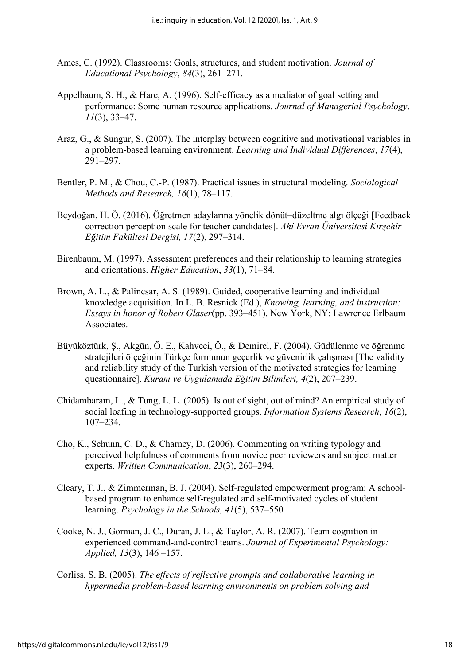- Ames, C. (1992). Classrooms: Goals, structures, and student motivation. *Journal of Educational Psychology*, *84*(3), 261–271.
- Appelbaum, S. H., & Hare, A. (1996). Self-efficacy as a mediator of goal setting and performance: Some human resource applications. *Journal of Managerial Psychology*, *11*(3), 33–47.
- Araz, G., & Sungur, S. (2007). The interplay between cognitive and motivational variables in a problem-based learning environment. *Learning and Individual Differences*, *17*(4), 291–297.
- Bentler, P. M., & Chou, C.-P. (1987). Practical issues in structural modeling. *Sociological Methods and Research, 16*(1), 78–117.
- Beydoğan, H. Ö. (2016). Öğretmen adaylarına yönelik dönüt–düzeltme algı ölçeği [Feedback correction perception scale for teacher candidates]. *Ahi Evran Üniversitesi Kırşehir Eğitim Fakültesi Dergisi, 17*(2), 297–314.
- Birenbaum, M. (1997). Assessment preferences and their relationship to learning strategies and orientations. *Higher Education*, *33*(1), 71–84.
- Brown, A. L., & Palincsar, A. S. (1989). Guided, cooperative learning and individual knowledge acquisition. In L. B. Resnick (Ed.), *Knowing, learning, and instruction: Essays in honor of Robert Glaser*(pp. 393–451). New York, NY: Lawrence Erlbaum Associates.
- Büyüköztürk, Ş., Akgün, Ö. E., Kahveci, Ö., & Demirel, F. (2004). Güdülenme ve öğrenme stratejileri ölçeğinin Türkçe formunun geçerlik ve güvenirlik çalışması [The validity and reliability study of the Turkish version of the motivated strategies for learning questionnaire]. *Kuram ve Uygulamada Eğitim Bilimleri, 4*(2), 207–239.
- Chidambaram, L., & Tung, L. L. (2005). Is out of sight, out of mind? An empirical study of social loafing in technology-supported groups. *Information Systems Research*, *16*(2), 107–234.
- Cho, K., Schunn, C. D., & Charney, D. (2006). Commenting on writing typology and perceived helpfulness of comments from novice peer reviewers and subject matter experts. *Written Communication*, *23*(3), 260–294.
- Cleary, T. J., & Zimmerman, B. J. (2004). Self-regulated empowerment program: A schoolbased program to enhance self-regulated and self-motivated cycles of student learning. *Psychology in the Schools, 41*(5), 537–550
- Cooke, N. J., Gorman, J. C., Duran, J. L., & Taylor, A. R. (2007). Team cognition in experienced command-and-control teams. *Journal of Experimental Psychology: Applied, 13*(3), 146 –157.
- Corliss, S. B. (2005). *The effects of reflective prompts and collaborative learning in hypermedia problem-based learning environments on problem solving and*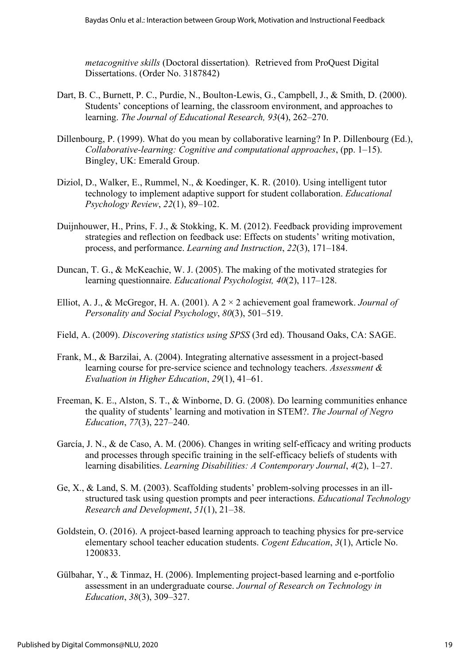*metacognitive skills* (Doctoral dissertation)*.* Retrieved from ProQuest Digital Dissertations. (Order No. 3187842)

- Dart, B. C., Burnett, P. C., Purdie, N., Boulton-Lewis, G., Campbell, J., & Smith, D. (2000). Students' conceptions of learning, the classroom environment, and approaches to learning. *The Journal of Educational Research, 93*(4), 262–270.
- Dillenbourg, P. (1999). What do you mean by collaborative learning? In P. Dillenbourg (Ed.), *Collaborative-learning: Cognitive and computational approaches*, (pp. 1–15). Bingley, UK: Emerald Group.
- Diziol, D., Walker, E., Rummel, N., & Koedinger, K. R. (2010). Using intelligent tutor technology to implement adaptive support for student collaboration. *Educational Psychology Review*, *22*(1), 89–102.
- Duijnhouwer, H., Prins, F. J., & Stokking, K. M. (2012). Feedback providing improvement strategies and reflection on feedback use: Effects on students' writing motivation, process, and performance. *Learning and Instruction*, *22*(3), 171–184.
- Duncan, T. G., & McKeachie, W. J. (2005). The making of the motivated strategies for learning questionnaire. *Educational Psychologist, 40*(2), 117–128.
- Elliot, A. J., & McGregor, H. A. (2001). A 2 × 2 achievement goal framework. *Journal of Personality and Social Psychology*, *80*(3), 501–519.
- Field, A. (2009). *Discovering statistics using SPSS* (3rd ed). Thousand Oaks, CA: SAGE.
- Frank, M., & Barzilai, A. (2004). Integrating alternative assessment in a project-based learning course for pre-service science and technology teachers. *Assessment & Evaluation in Higher Education*, *29*(1), 41–61.
- Freeman, K. E., Alston, S. T., & Winborne, D. G. (2008). Do learning communities enhance the quality of students' learning and motivation in STEM?. *The Journal of Negro Education*, *77*(3), 227–240.
- García, J. N., & de Caso, A. M. (2006). Changes in writing self-efficacy and writing products and processes through specific training in the self-efficacy beliefs of students with learning disabilities. *Learning Disabilities: A Contemporary Journal*, *4*(2), 1–27.
- Ge, X., & Land, S. M. (2003). Scaffolding students' problem-solving processes in an illstructured task using question prompts and peer interactions. *Educational Technology Research and Development*, *51*(1), 21–38.
- Goldstein, O. (2016). A project-based learning approach to teaching physics for pre-service elementary school teacher education students. *Cogent Education*, *3*(1), Article No. 1200833.
- Gülbahar, Y., & Tinmaz, H. (2006). Implementing project-based learning and e-portfolio assessment in an undergraduate course. *Journal of Research on Technology in Education*, *38*(3), 309–327.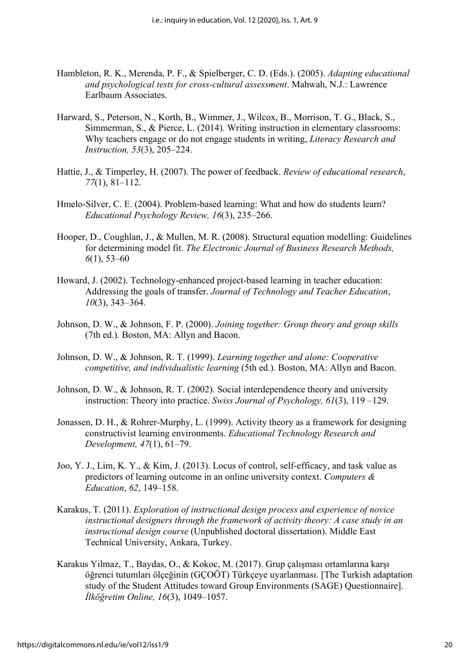- Hambleton, R. K., Merenda, P. F., & Spielberger, C. D. (Eds.). (2005). *Adapting educational and psychological tests for cross-cultural assessment*. Mahwah, N.J.: Lawrence Earlbaum Associates.
- Harward, S., Peterson, N., Korth, B., Wimmer, J., Wilcox, B., Morrison, T. G., Black, S., Simmerman, S., & Pierce, L. (2014). Writing instruction in elementary classrooms: Why teachers engage or do not engage students in writing, *Literacy Research and Instruction, 53*(3), 205–224.
- Hattie, J., & Timperley, H. (2007). The power of feedback. *Review of educational research*, *77*(1), 81–112.
- Hmelo-Silver, C. E. (2004). Problem-based learning: What and how do students learn? *Educational Psychology Review, 16*(3), 235–266.
- Hooper, D., Coughlan, J., & Mullen, M. R. (2008). Structural equation modelling: Guidelines for determining model fit. *The Electronic Journal of Business Research Methods, 6*(1), 53–60
- Howard, J. (2002). Technology-enhanced project-based learning in teacher education: Addressing the goals of transfer. *Journal of Technology and Teacher Education*, *10*(3), 343–364.
- Johnson, D. W., & Johnson, F. P. (2000). *Joining together: Group theory and group skills* (7th ed.)*.* Boston, MA: Allyn and Bacon.
- Johnson, D. W., & Johnson, R. T. (1999). *Learning together and alone: Cooperative competitive, and individualistic learning* (5th ed.). Boston, MA: Allyn and Bacon.
- Johnson, D. W., & Johnson, R. T. (2002). Social interdependence theory and university instruction: Theory into practice. *Swiss Journal of Psychology, 61*(3), 119 –129.
- Jonassen, D. H., & Rohrer-Murphy, L. (1999). Activity theory as a framework for designing constructivist learning environments. *Educational Technology Research and Development, 47*(1), 61–79.
- Joo, Y. J., Lim, K. Y., & Kim, J. (2013). Locus of control, self-efficacy, and task value as predictors of learning outcome in an online university context. *Computers & Education*, *62*, 149–158.
- Karakus, T. (2011). *Exploration of instructional design process and experience of novice instructional designers through the framework of activity theory: A case study in an instructional design course* (Unpublished doctoral dissertation). Middle East Technical University, Ankara, Turkey.
- Karakus Yilmaz, T., Baydas, O., & Kokoc, M. (2017). Grup çalışması ortamlarına karşı öğrenci tutumları ölçeğinin (GÇOÖT) Türkçeye uyarlanması. [The Turkish adaptation study of the Student Attitudes toward Group Environments (SAGE) Questionnaire]. *İlköğretim Online, 16*(3), 1049–1057.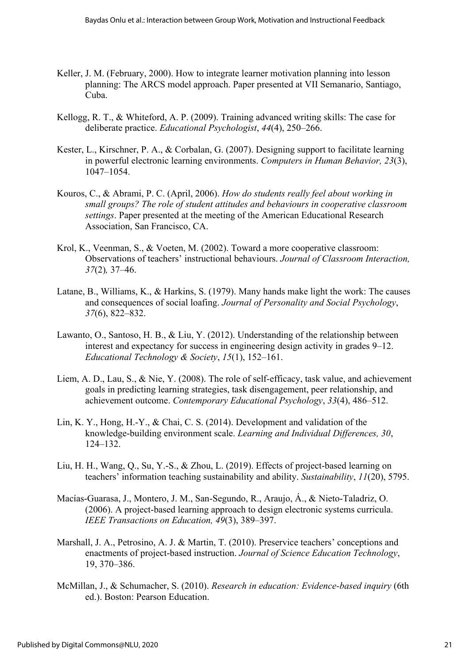- Keller, J. M. (February, 2000). How to integrate learner motivation planning into lesson planning: The ARCS model approach. Paper presented at VII Semanario, Santiago, Cuba.
- Kellogg, R. T., & Whiteford, A. P. (2009). Training advanced writing skills: The case for deliberate practice. *Educational Psychologist*, *44*(4), 250–266.
- Kester, L., Kirschner, P. A., & Corbalan, G. (2007). Designing support to facilitate learning in powerful electronic learning environments. *Computers in Human Behavior, 23*(3), 1047–1054.
- Kouros, C., & Abrami, P. C. (April, 2006). *How do students really feel about working in small groups? The role of student attitudes and behaviours in cooperative classroom settings*. Paper presented at the meeting of the American Educational Research Association, San Francisco, CA.
- Krol, K., Veenman, S., & Voeten, M. (2002). Toward a more cooperative classroom: Observations of teachers' instructional behaviours. *Journal of Classroom Interaction, 37*(2)*,* 37–46.
- Latane, B., Williams, K., & Harkins, S. (1979). Many hands make light the work: The causes and consequences of social loafing. *Journal of Personality and Social Psychology*, *37*(6), 822–832.
- Lawanto, O., Santoso, H. B., & Liu, Y. (2012). Understanding of the relationship between interest and expectancy for success in engineering design activity in grades 9–12. *Educational Technology & Society*, *15*(1), 152–161.
- Liem, A. D., Lau, S., & Nie, Y. (2008). The role of self-efficacy, task value, and achievement goals in predicting learning strategies, task disengagement, peer relationship, and achievement outcome. *Contemporary Educational Psychology*, *33*(4), 486–512.
- Lin, K. Y., Hong, H.-Y., & Chai, C. S. (2014). Development and validation of the knowledge-building environment scale. *Learning and Individual Differences, 30*, 124–132.
- Liu, H. H., Wang, Q., Su, Y.-S., & Zhou, L. (2019). Effects of project-based learning on teachers' information teaching sustainability and ability. *Sustainability*, *11*(20), 5795.
- Macías-Guarasa, J., Montero, J. M., San-Segundo, R., Araujo, Á., & Nieto-Taladriz, O. (2006). A project-based learning approach to design electronic systems curricula. *IEEE Transactions on Education, 49*(3), 389–397.
- Marshall, J. A., Petrosino, A. J. & Martin, T. (2010). Preservice teachers' conceptions and enactments of project-based instruction. *Journal of Science Education Technology*, 19, 370–386.
- McMillan, J., & Schumacher, S. (2010). *Research in education: Evidence-based inquiry* (6th ed.). Boston: Pearson Education.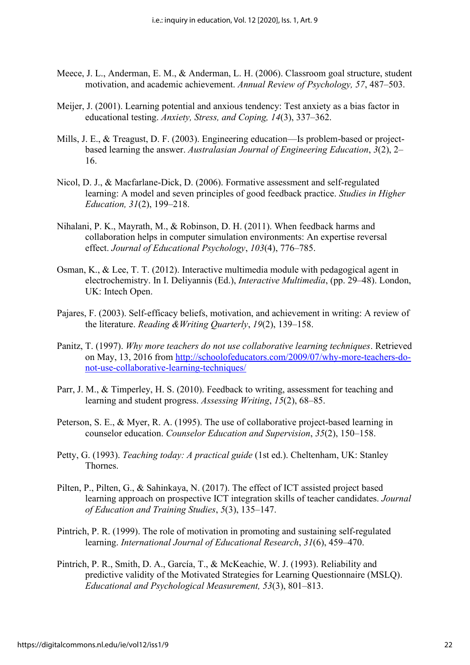- Meece, J. L., Anderman, E. M., & Anderman, L. H. (2006). Classroom goal structure, student motivation, and academic achievement. *Annual Review of Psychology, 57*, 487–503.
- Meijer, J. (2001). Learning potential and anxious tendency: Test anxiety as a bias factor in educational testing. *Anxiety, Stress, and Coping, 14*(3), 337–362.
- Mills, J. E., & Treagust, D. F. (2003). Engineering education—Is problem-based or projectbased learning the answer. *Australasian Journal of Engineering Education*, *3*(2), 2– 16.
- Nicol, D. J., & Macfarlane-Dick, D. (2006). Formative assessment and self-regulated learning: A model and seven principles of good feedback practice. *Studies in Higher Education, 31*(2), 199–218.
- Nihalani, P. K., Mayrath, M., & Robinson, D. H. (2011). When feedback harms and collaboration helps in computer simulation environments: An expertise reversal effect. *Journal of Educational Psychology*, *103*(4), 776–785.
- Osman, K., & Lee, T. T. (2012). Interactive multimedia module with pedagogical agent in electrochemistry. In I. Deliyannis (Ed.), *Interactive Multimedia*, (pp. 29–48). London, UK: Intech Open.
- Pajares, F. (2003). Self-efficacy beliefs, motivation, and achievement in writing: A review of the literature. *Reading &Writing Quarterly*, *19*(2), 139–158.
- Panitz, T. (1997). *Why more teachers do not use collaborative learning techniques*. Retrieved on May, 13, 2016 from [http://schoolofeducators.com/2009/07/why-more-teachers-do](http://schoolofeducators.com/2009/07/why-more-teachers-do-not-use-collaborative-learning-techniques/)[not-use-collaborative-learning-techniques/](http://schoolofeducators.com/2009/07/why-more-teachers-do-not-use-collaborative-learning-techniques/)
- Parr, J. M., & Timperley, H. S. (2010). Feedback to writing, assessment for teaching and learning and student progress. *Assessing Writing*, *15*(2), 68–85.
- Peterson, S. E., & Myer, R. A. (1995). The use of collaborative project-based learning in counselor education. *Counselor Education and Supervision*, *35*(2), 150–158.
- Petty, G. (1993). *Teaching today: A practical guide* (1st ed.). Cheltenham, UK: Stanley Thornes.
- Pilten, P., Pilten, G., & Sahinkaya, N. (2017). The effect of ICT assisted project based learning approach on prospective ICT integration skills of teacher candidates. *Journal of Education and Training Studies*, *5*(3), 135–147.
- Pintrich, P. R. (1999). The role of motivation in promoting and sustaining self-regulated learning. *International Journal of Educational Research*, *31*(6), 459–470.
- Pintrich, P. R., Smith, D. A., García, T., & McKeachie, W. J. (1993). Reliability and predictive validity of the Motivated Strategies for Learning Questionnaire (MSLQ). *Educational and Psychological Measurement, 53*(3), 801–813.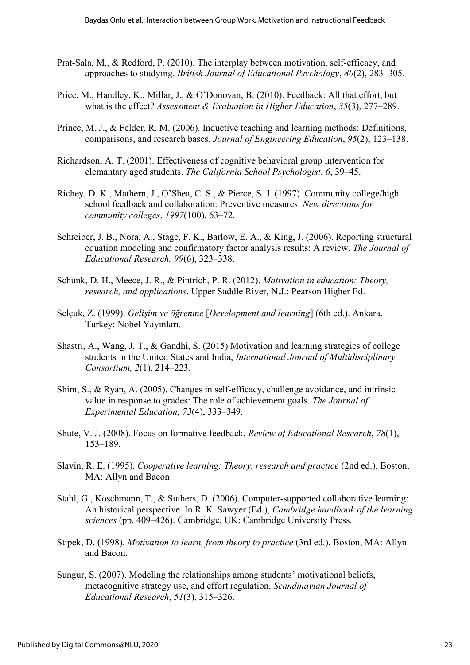- Prat‐Sala, M., & Redford, P. (2010). The interplay between motivation, self‐efficacy, and approaches to studying. *British Journal of Educational Psychology*, *80*(2), 283–305.
- Price, M., Handley, K., Millar, J., & O'Donovan, B. (2010). Feedback: All that effort, but what is the effect? *Assessment & Evaluation in Higher Education*, *35*(3), 277–289.
- Prince, M. J., & Felder, R. M. (2006). Inductive teaching and learning methods: Definitions, comparisons, and research bases. *Journal of Engineering Education*, *95*(2), 123–138.
- Richardson, A. T. (2001). Effectiveness of cognitive behavioral group intervention for elemantary aged students. *The California School Psychologist*, *6*, 39–45.
- Richey, D. K., Mathern, J., O'Shea, C. S., & Pierce, S. J. (1997). Community college/high school feedback and collaboration: Preventive measures. *New directions for community colleges*, *1997*(100), 63–72.
- Schreiber, J. B., Nora, A., Stage, F. K., Barlow, E. A., & King, J. (2006). Reporting structural equation modeling and confirmatory factor analysis results: A review. *The Journal of Educational Research, 99*(6), 323–338.
- Schunk, D. H., Meece, J. R., & Pintrich, P. R. (2012). *Motivation in education: Theory, research, and applications*. Upper Saddle River, N.J.: Pearson Higher Ed.
- Selçuk, Z. (1999). *Gelişim ve öğrenme* [*Development and learning*] (6th ed.). Ankara, Turkey: Nobel Yayınları*.*
- Shastri, A., Wang, J. T., & Gandhi, S. (2015) Motivation and learning strategies of college students in the United States and India, *International Journal of Multidisciplinary Consortium, 2*(1), 214–223.
- Shim, S., & Ryan, A. (2005). Changes in self-efficacy, challenge avoidance, and intrinsic value in response to grades: The role of achievement goals. *The Journal of Experimental Education*, *73*(4), 333–349.
- Shute, V. J. (2008). Focus on formative feedback. *Review of Educational Research*, *78*(1), 153–189.
- Slavin, R. E. (1995). *Cooperative learning: Theory, research and practice* (2nd ed.). Boston, MA: Allyn and Bacon
- Stahl, G., Koschmann, T., & Suthers, D. (2006). Computer-supported collaborative learning: An historical perspective. In R. K. Sawyer (Ed.), *Cambridge handbook of the learning sciences* (pp. 409–426). Cambridge, UK: Cambridge University Press.
- Stipek, D. (1998). *Motivation to learn, from theory to practice* (3rd ed.). Boston, MA: Allyn and Bacon.
- Sungur, S. (2007). Modeling the relationships among students' motivational beliefs, metacognitive strategy use, and effort regulation. *Scandinavian Journal of Educational Research*, *51*(3), 315–326.